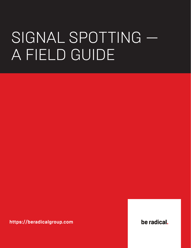# SIGNAL SPOTTING -A FIELD GUIDE

https://beradicalgroup.com

be radical.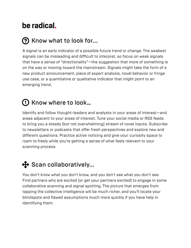## be radical.

#### **(?)** Know what to look for...

A signal is an early indicator of a possible future trend or change. The weakest signals can be misleading and difficult to interpret, so focus on weak signals that have a sense of "directionality"—the suggestion that more of something is on the way or moving toward the mainstream. Signals might take the form of a new product announcement, piece of expert analysis, novel behavior or fringe use case, or a quantitative or qualitative indicator that might point to an emerging trend.

# C) Know where to look...

Identify and follow thought-leaders and analysts in your areas of interest—and areas adjacent to your areas of interest. Tune your social media or RSS feeds to bring you a steady (but not overwhelming) stream of novel inputs. Subscribe to newsletters or podcasts that offer fresh perspectives and explore new and different questions. Practice active noticing and give your curiosity space to roam to freely while you're getting a sense of what feels relevant to your scanning process.

#### $\bigoplus$  Scan collaboratively...

You don't know what you don't know, and you don't see what you don't see. Find partners who are excited (or get your partners excited) to engage in some collaborative scanning and signal spotting. The picture that emerges from tapping the collective intelligence will be much richer, and you'll locate your blindspots and flawed assumptions much more quickly if you have help in identifying them.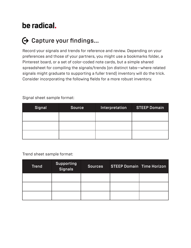## be radical.

### $\Theta$  Capture your findings...

Record your signals and trends for reference and review. Depending on your preferences and those of your partners, you might use a bookmarks folder, a Pinterest board, or a set of color-coded note cards, but a simple shared spreadsheet for compiling the signals/trends (on distinct tabs—where related signals might graduate to supporting a fuller trend) inventory will do the trick. Consider incorporating the following fields for a more robust inventory.

| Signal | <b>Source</b> | Interpretation | <b>STEEP Domain</b> |
|--------|---------------|----------------|---------------------|
|        |               |                |                     |
|        |               |                |                     |
|        |               |                |                     |

Signal sheet sample format:

Trend sheet sample format:

| <b>Trend</b> | <b>Supporting</b><br>Signals | <b>Sources</b> | <b>STEEP Domain Time Horizon</b> |  |
|--------------|------------------------------|----------------|----------------------------------|--|
|              |                              |                |                                  |  |
|              |                              |                |                                  |  |
|              |                              |                |                                  |  |